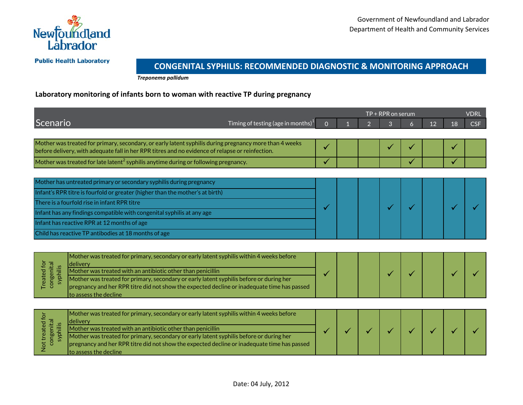

**Public Health Laboratory** 

## **CONGENITAL SYPHILIS: RECOMMENDED DIAGNOSTIC & MONITORING APPROACH**

*Treponema pallidum*

## **Laboratory monitoring of infants born to woman with reactive TP during pregnancy**

|                                                                                                                                                                                                            |                                                                                                                                                                                        |          | <b>VDRL</b><br>$TP + RPR$ on serum |  |                |   |    |    |            |  |
|------------------------------------------------------------------------------------------------------------------------------------------------------------------------------------------------------------|----------------------------------------------------------------------------------------------------------------------------------------------------------------------------------------|----------|------------------------------------|--|----------------|---|----|----|------------|--|
| Scenario                                                                                                                                                                                                   | Timing of testing (age in months) $1$                                                                                                                                                  | $\Omega$ |                                    |  | $\overline{3}$ | 6 | 12 | 18 | <b>CSF</b> |  |
|                                                                                                                                                                                                            |                                                                                                                                                                                        |          |                                    |  |                |   |    |    |            |  |
| Mother was treated for primary, secondary, or early latent syphilis during pregnancy more than 4 weeks<br>before delivery, with adequate fall in her RPR titres and no evidence of relapse or reinfection. |                                                                                                                                                                                        | ✓        |                                    |  |                |   |    |    |            |  |
| Mother was treated for late latent <sup>2</sup> syphilis anytime during or following pregnancy.                                                                                                            |                                                                                                                                                                                        | ✓        |                                    |  |                |   |    |    |            |  |
|                                                                                                                                                                                                            |                                                                                                                                                                                        |          |                                    |  |                |   |    |    |            |  |
|                                                                                                                                                                                                            | Mother has untreated primary or secondary syphilis during pregnancy                                                                                                                    |          |                                    |  |                |   |    |    |            |  |
| Infant's RPR titre is fourfold or greater (higher than the mother's at birth)                                                                                                                              |                                                                                                                                                                                        |          |                                    |  |                |   |    |    |            |  |
| There is a fourfold rise in infant RPR titre                                                                                                                                                               |                                                                                                                                                                                        |          |                                    |  |                |   |    |    |            |  |
| Infant has any findings compatible with congenital syphilis at any age                                                                                                                                     |                                                                                                                                                                                        |          |                                    |  |                |   |    |    |            |  |
| Infant has reactive RPR at 12 months of age                                                                                                                                                                |                                                                                                                                                                                        |          |                                    |  |                |   |    |    |            |  |
| Child has reactive TP antibodies at 18 months of age                                                                                                                                                       |                                                                                                                                                                                        |          |                                    |  |                |   |    |    |            |  |
|                                                                                                                                                                                                            |                                                                                                                                                                                        |          |                                    |  |                |   |    |    |            |  |
| Treated for<br>congenital<br>syphilis                                                                                                                                                                      | Mother was treated for primary, secondary or early latent syphilis within 4 weeks before<br>delivery<br>Mother was treated with an antibiotic other than penicillin                    |          |                                    |  |                |   |    |    |            |  |
|                                                                                                                                                                                                            | Mother was treated for primary, secondary or early latent syphilis before or during her<br>pregnancy and her RPR titre did not show the expected decline or inadequate time has passed |          |                                    |  |                |   |    |    |            |  |
|                                                                                                                                                                                                            | to assess the decline                                                                                                                                                                  |          |                                    |  |                |   |    |    |            |  |
| Not treated for<br>congenital<br>syphilis                                                                                                                                                                  | Mother was treated for primary, secondary or early latent syphilis within 4 weeks before                                                                                               |          |                                    |  |                |   |    |    |            |  |
|                                                                                                                                                                                                            | delivery                                                                                                                                                                               |          |                                    |  |                |   |    |    |            |  |
|                                                                                                                                                                                                            | Mother was treated with an antibiotic other than penicillin                                                                                                                            |          |                                    |  |                |   |    |    |            |  |
|                                                                                                                                                                                                            | Mother was treated for primary, secondary or early latent syphilis before or during her<br>pregnancy and her RPR titre did not show the expected decline or inadequate time has passed |          |                                    |  |                |   |    |    |            |  |
|                                                                                                                                                                                                            | to assess the decline                                                                                                                                                                  |          |                                    |  |                |   |    |    |            |  |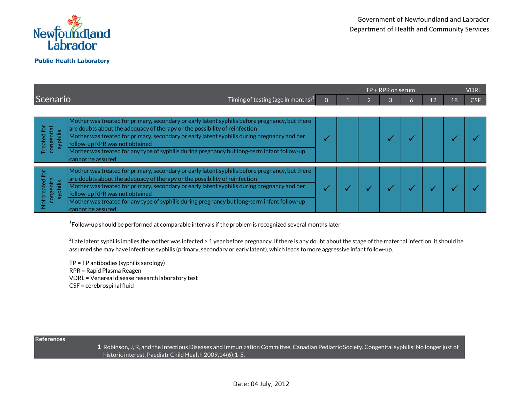

|                                                           |                                                                                                                                                                                                                                                                                                                                                                                                                                   | $TP + \overline{RPR}$ on serum |  |  |  |   |    |    |     |
|-----------------------------------------------------------|-----------------------------------------------------------------------------------------------------------------------------------------------------------------------------------------------------------------------------------------------------------------------------------------------------------------------------------------------------------------------------------------------------------------------------------|--------------------------------|--|--|--|---|----|----|-----|
| Scenario                                                  | Timing of testing (age in months) $^1$                                                                                                                                                                                                                                                                                                                                                                                            |                                |  |  |  | 6 | 12 | 18 | CSF |
|                                                           |                                                                                                                                                                                                                                                                                                                                                                                                                                   |                                |  |  |  |   |    |    |     |
| Treated for<br>congenital<br>syphilis                     | Mother was treated for primary, secondary or early latent syphilis before pregnancy, but there<br>are doubts about the adequacy of therapy or the possibility of reinfection<br>Mother was treated for primary, secondary or early latent syphilis during pregnancy and her<br>follow-up RPR was not obtained<br>Mother was treated for any type of syphilis during pregnancy but long-term infant follow-up<br>cannot be assured |                                |  |  |  |   |    |    |     |
| congenital<br>syphilis<br>treated<br>$\overline{5}$<br>Ż. | Mother was treated for primary, secondary or early latent syphilis before pregnancy, but there<br>are doubts about the adequacy of therapy or the possibility of reinfection<br>Mother was treated for primary, secondary or early latent syphilis during pregnancy and her<br>follow-up RPR was not obtained<br>Mother was treated for any type of syphilis during pregnancy but long-term infant follow-up<br>cannot be assured |                                |  |  |  |   |    |    |     |

 $^{\rm 1}$ Follow-up should be performed at comparable intervals if the problem is recognized several months later

 $^2$ Late latent syphilis implies the mother was infected > 1 year before pregnancy. If there is any doubt about the stage of the maternal infection, it should be assumed she may have infectious syphilis (primary, secondary or early latent), which leads to more aggressive infant follow-up.

TP = TP antibodies (syphilis serology) RPR = Rapid Plasma Reagen VDRL = Venereal disease research laboratory test CSF = cerebrospinal fluid

## **References**

1 Robinson, J, R, and the Infectious Diseases and Immunization Committee, Canadian Pediatric Society. Congenital syphilis: No longer just of historic interest. Paediatr Child Health 2009,14(6):1-5.